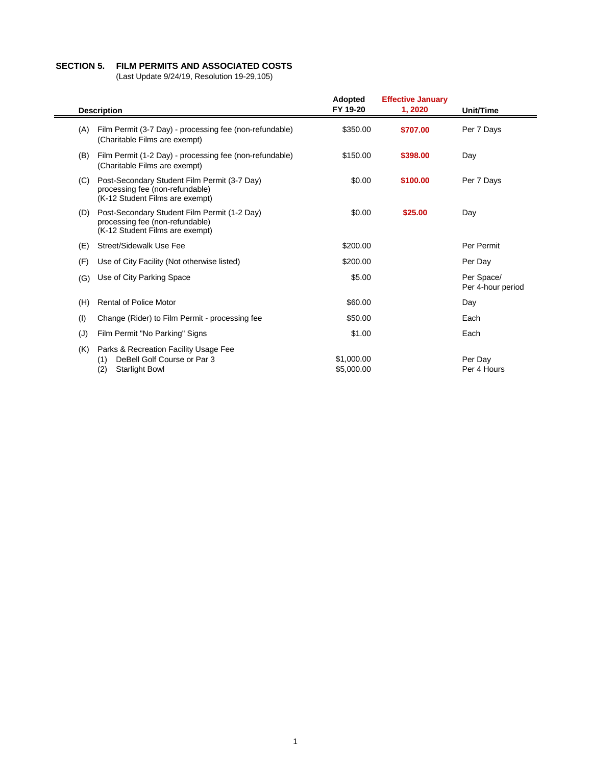## **SECTION 5. FILM PERMITS AND ASSOCIATED COSTS**

(Last Update 9/24/19, Resolution 19-29,105)

| <b>Description</b> |                                                                                                                    | <b>Adopted</b><br>FY 19-20 | <b>Effective January</b><br>1, 2020 | Unit/Time                       |
|--------------------|--------------------------------------------------------------------------------------------------------------------|----------------------------|-------------------------------------|---------------------------------|
| (A)                | Film Permit (3-7 Day) - processing fee (non-refundable)<br>(Charitable Films are exempt)                           | \$350.00                   | \$707.00                            | Per 7 Days                      |
| (B)                | Film Permit (1-2 Day) - processing fee (non-refundable)<br>(Charitable Films are exempt)                           | \$150.00                   | \$398.00                            | Day                             |
| (C)                | Post-Secondary Student Film Permit (3-7 Day)<br>processing fee (non-refundable)<br>(K-12 Student Films are exempt) | \$0.00                     | \$100.00                            | Per 7 Days                      |
| (D)                | Post-Secondary Student Film Permit (1-2 Day)<br>processing fee (non-refundable)<br>(K-12 Student Films are exempt) | \$0.00                     | \$25.00                             | Day                             |
| (E)                | Street/Sidewalk Use Fee                                                                                            | \$200.00                   |                                     | Per Permit                      |
| (F)                | Use of City Facility (Not otherwise listed)                                                                        | \$200.00                   |                                     | Per Day                         |
| (G)                | Use of City Parking Space                                                                                          | \$5.00                     |                                     | Per Space/<br>Per 4-hour period |
| (H)                | <b>Rental of Police Motor</b>                                                                                      | \$60.00                    |                                     | Day                             |
| (1)                | Change (Rider) to Film Permit - processing fee                                                                     | \$50.00                    |                                     | Each                            |
| (J)                | Film Permit "No Parking" Signs                                                                                     | \$1.00                     |                                     | Each                            |
| (K)                | Parks & Recreation Facility Usage Fee<br>DeBell Golf Course or Par 3<br>(1)<br><b>Starlight Bowl</b><br>(2)        | \$1,000.00<br>\$5,000.00   |                                     | Per Day<br>Per 4 Hours          |